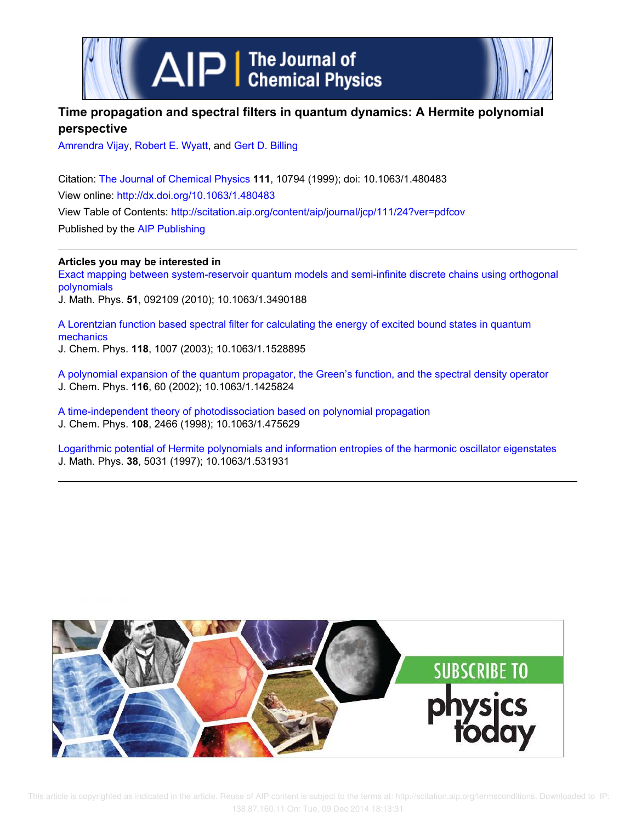

# **Time propagation and spectral filters in quantum dynamics: A Hermite polynomial perspective**

Amrendra Vijay, Robert E. Wyatt, and Gert D. Billing

Citation: The Journal of Chemical Physics **111**, 10794 (1999); doi: 10.1063/1.480483 View online: http://dx.doi.org/10.1063/1.480483 View Table of Contents: http://scitation.aip.org/content/aip/journal/jcp/111/24?ver=pdfcov Published by the AIP Publishing

**Articles you may be interested in**

Exact mapping between system-reservoir quantum models and semi-infinite discrete chains using orthogonal polynomials

J. Math. Phys. **51**, 092109 (2010); 10.1063/1.3490188

A Lorentzian function based spectral filter for calculating the energy of excited bound states in quantum mechanics

J. Chem. Phys. **118**, 1007 (2003); 10.1063/1.1528895

A polynomial expansion of the quantum propagator, the Green's function, and the spectral density operator J. Chem. Phys. **116**, 60 (2002); 10.1063/1.1425824

A time-independent theory of photodissociation based on polynomial propagation J. Chem. Phys. **108**, 2466 (1998); 10.1063/1.475629

Logarithmic potential of Hermite polynomials and information entropies of the harmonic oscillator eigenstates J. Math. Phys. **38**, 5031 (1997); 10.1063/1.531931

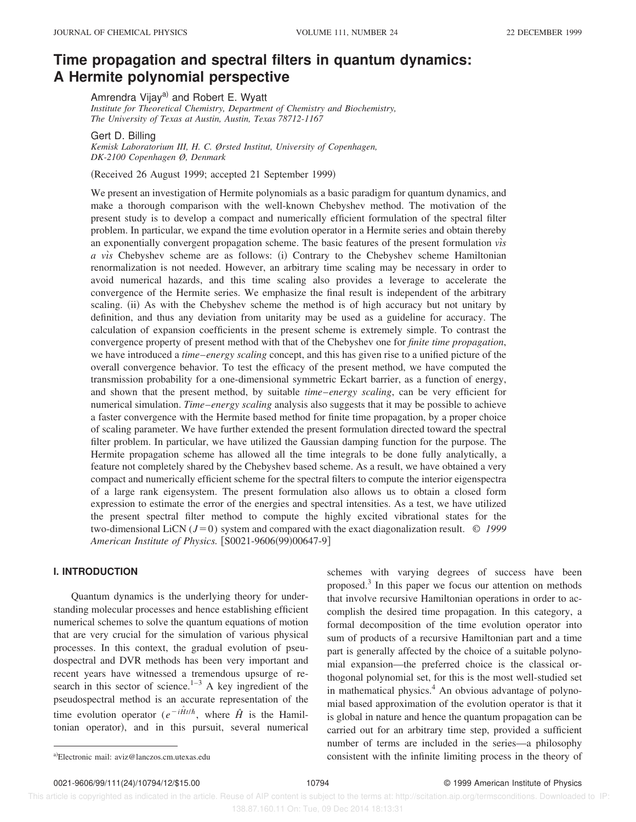# **Time propagation and spectral filters in quantum dynamics: A Hermite polynomial perspective**

Amrendra Vijay<sup>a)</sup> and Robert E. Wyatt

*Institute for Theoretical Chemistry, Department of Chemistry and Biochemistry, The University of Texas at Austin, Austin, Texas 78712-1167*

Gert D. Billing

*Kemisk Laboratorium III, H. C. Ørsted Institut, University of Copenhagen, DK-2100 Copenhagen Ø, Denmark*

(Received 26 August 1999; accepted 21 September 1999)

We present an investigation of Hermite polynomials as a basic paradigm for quantum dynamics, and make a thorough comparison with the well-known Chebyshev method. The motivation of the present study is to develop a compact and numerically efficient formulation of the spectral filter problem. In particular, we expand the time evolution operator in a Hermite series and obtain thereby an exponentially convergent propagation scheme. The basic features of the present formulation *vı`s a* vis Chebyshev scheme are as follows: (i) Contrary to the Chebyshev scheme Hamiltonian renormalization is not needed. However, an arbitrary time scaling may be necessary in order to avoid numerical hazards, and this time scaling also provides a leverage to accelerate the convergence of the Hermite series. We emphasize the final result is independent of the arbitrary scaling. (ii) As with the Chebyshev scheme the method is of high accuracy but not unitary by definition, and thus any deviation from unitarity may be used as a guideline for accuracy. The calculation of expansion coefficients in the present scheme is extremely simple. To contrast the convergence property of present method with that of the Chebyshev one for *finite time propagation*, we have introduced a *time*–*energy scaling* concept, and this has given rise to a unified picture of the overall convergence behavior. To test the efficacy of the present method, we have computed the transmission probability for a one-dimensional symmetric Eckart barrier, as a function of energy, and shown that the present method, by suitable *time*–*energy scaling*, can be very efficient for numerical simulation. *Time*–*energy scaling* analysis also suggests that it may be possible to achieve a faster convergence with the Hermite based method for finite time propagation, by a proper choice of scaling parameter. We have further extended the present formulation directed toward the spectral filter problem. In particular, we have utilized the Gaussian damping function for the purpose. The Hermite propagation scheme has allowed all the time integrals to be done fully analytically, a feature not completely shared by the Chebyshev based scheme. As a result, we have obtained a very compact and numerically efficient scheme for the spectral filters to compute the interior eigenspectra of a large rank eigensystem. The present formulation also allows us to obtain a closed form expression to estimate the error of the energies and spectral intensities. As a test, we have utilized the present spectral filter method to compute the highly excited vibrational states for the two-dimensional LiCN  $(J=0)$  system and compared with the exact diagonalization result. © 1999 *American Institute of Physics.* [S0021-9606(99)00647-9]

# **I. INTRODUCTION**

Quantum dynamics is the underlying theory for understanding molecular processes and hence establishing efficient numerical schemes to solve the quantum equations of motion that are very crucial for the simulation of various physical processes. In this context, the gradual evolution of pseudospectral and DVR methods has been very important and recent years have witnessed a tremendous upsurge of research in this sector of science.<sup>1–3</sup> A key ingredient of the pseudospectral method is an accurate representation of the time evolution operator  $(e^{-i\hat{H}t/\hbar}$ , where  $\hat{H}$  is the Hamiltonian operator), and in this pursuit, several numerical

schemes with varying degrees of success have been proposed.<sup>3</sup> In this paper we focus our attention on methods that involve recursive Hamiltonian operations in order to accomplish the desired time propagation. In this category, a formal decomposition of the time evolution operator into sum of products of a recursive Hamiltonian part and a time part is generally affected by the choice of a suitable polynomial expansion—the preferred choice is the classical orthogonal polynomial set, for this is the most well-studied set in mathematical physics. $4$  An obvious advantage of polynomial based approximation of the evolution operator is that it is global in nature and hence the quantum propagation can be carried out for an arbitrary time step, provided a sufficient number of terms are included in the series—a philosophy a)Electronic mail: aviz@lanczos.cm.utexas.edu consistent with the infinite limiting process in the theory of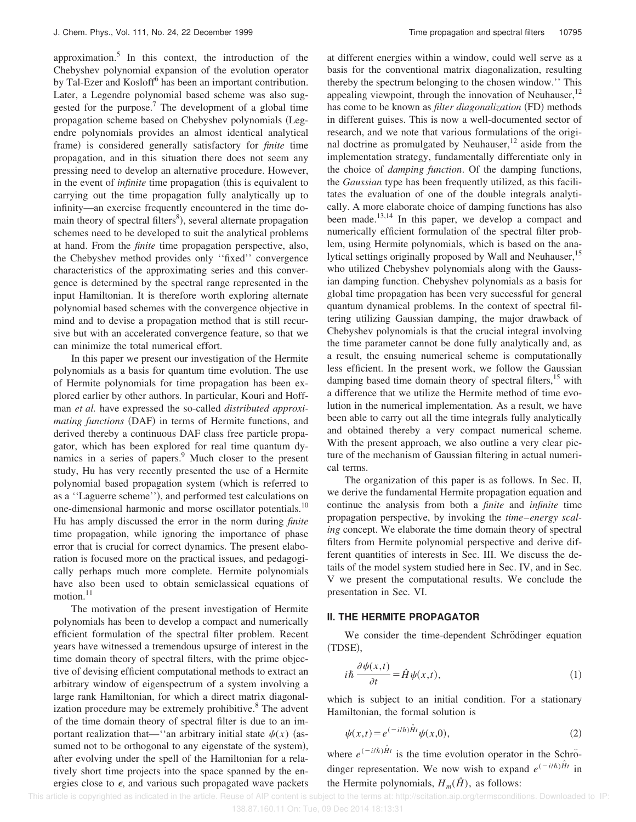approximation.<sup>5</sup> In this context, the introduction of the Chebyshev polynomial expansion of the evolution operator by Tal-Ezer and Kosloff<sup>6</sup> has been an important contribution. Later, a Legendre polynomial based scheme was also suggested for the purpose.<sup>7</sup> The development of a global time propagation scheme based on Chebyshev polynomials (Legendre polynomials provides an almost identical analytical frame) is considered generally satisfactory for *finite* time propagation, and in this situation there does not seem any pressing need to develop an alternative procedure. However, in the event of *infinite* time propagation (this is equivalent to carrying out the time propagation fully analytically up to infinity—an exercise frequently encountered in the time domain theory of spectral filters<sup>8</sup>), several alternate propagation schemes need to be developed to suit the analytical problems at hand. From the *finite* time propagation perspective, also, the Chebyshev method provides only ''fixed'' convergence characteristics of the approximating series and this convergence is determined by the spectral range represented in the input Hamiltonian. It is therefore worth exploring alternate polynomial based schemes with the convergence objective in mind and to devise a propagation method that is still recursive but with an accelerated convergence feature, so that we can minimize the total numerical effort.

In this paper we present our investigation of the Hermite polynomials as a basis for quantum time evolution. The use of Hermite polynomials for time propagation has been explored earlier by other authors. In particular, Kouri and Hoffman *et al.* have expressed the so-called *distributed approximating functions* (DAF) in terms of Hermite functions, and derived thereby a continuous DAF class free particle propagator, which has been explored for real time quantum dynamics in a series of papers.<sup>9</sup> Much closer to the present study, Hu has very recently presented the use of a Hermite polynomial based propagation system (which is referred to as a "Laguerre scheme"), and performed test calculations on one-dimensional harmonic and morse oscillator potentials.<sup>10</sup> Hu has amply discussed the error in the norm during *finite* time propagation, while ignoring the importance of phase error that is crucial for correct dynamics. The present elaboration is focused more on the practical issues, and pedagogically perhaps much more complete. Hermite polynomials have also been used to obtain semiclassical equations of motion. $11$ 

The motivation of the present investigation of Hermite polynomials has been to develop a compact and numerically efficient formulation of the spectral filter problem. Recent years have witnessed a tremendous upsurge of interest in the time domain theory of spectral filters, with the prime objective of devising efficient computational methods to extract an arbitrary window of eigenspectrum of a system involving a large rank Hamiltonian, for which a direct matrix diagonalization procedure may be extremely prohibitive.<sup>8</sup> The advent of the time domain theory of spectral filter is due to an important realization that—"an arbitrary initial state  $\psi(x)$  (assumed not to be orthogonal to any eigenstate of the system), after evolving under the spell of the Hamiltonian for a relatively short time projects into the space spanned by the energies close to  $\epsilon$ , and various such propagated wave packets at different energies within a window, could well serve as a basis for the conventional matrix diagonalization, resulting thereby the spectrum belonging to the chosen window.'' This appealing viewpoint, through the innovation of Neuhauser, $^{12}$ has come to be known as *filter diagonalization* (FD) methods in different guises. This is now a well-documented sector of research, and we note that various formulations of the original doctrine as promulgated by Neuhauser,  $12$  aside from the implementation strategy, fundamentally differentiate only in the choice of *damping function*. Of the damping functions, the *Gaussian* type has been frequently utilized, as this facilitates the evaluation of one of the double integrals analytically. A more elaborate choice of damping functions has also been made.<sup>13,14</sup> In this paper, we develop a compact and numerically efficient formulation of the spectral filter problem, using Hermite polynomials, which is based on the analytical settings originally proposed by Wall and Neuhauser,<sup>15</sup> who utilized Chebyshev polynomials along with the Gaussian damping function. Chebyshev polynomials as a basis for global time propagation has been very successful for general quantum dynamical problems. In the context of spectral filtering utilizing Gaussian damping, the major drawback of Chebyshev polynomials is that the crucial integral involving the time parameter cannot be done fully analytically and, as a result, the ensuing numerical scheme is computationally less efficient. In the present work, we follow the Gaussian damping based time domain theory of spectral filters,<sup>15</sup> with a difference that we utilize the Hermite method of time evolution in the numerical implementation. As a result, we have been able to carry out all the time integrals fully analytically and obtained thereby a very compact numerical scheme. With the present approach, we also outline a very clear picture of the mechanism of Gaussian filtering in actual numerical terms.

The organization of this paper is as follows. In Sec. II, we derive the fundamental Hermite propagation equation and continue the analysis from both a *finite* and *infinite* time propagation perspective, by invoking the *time*–*energy scaling* concept. We elaborate the time domain theory of spectral filters from Hermite polynomial perspective and derive different quantities of interests in Sec. III. We discuss the details of the model system studied here in Sec. IV, and in Sec. V we present the computational results. We conclude the presentation in Sec. VI.

# **II. THE HERMITE PROPAGATOR**

We consider the time-dependent Schrödinger equation ~TDSE!,

$$
i\hbar \frac{\partial \psi(x,t)}{\partial t} = \hat{H}\psi(x,t),\tag{1}
$$

which is subject to an initial condition. For a stationary Hamiltonian, the formal solution is

$$
\psi(x,t) = e^{(-i/\hbar)\hat{H}t}\psi(x,0),\tag{2}
$$

where  $e^{(-i/\hbar)\hat{H}t}$  is the time evolution operator in the Schrödinger representation. We now wish to expand  $e^{(-i/\hbar)\hat{H}t}$  in the Hermite polynomials,  $H_m(\hat{H})$ , as follows: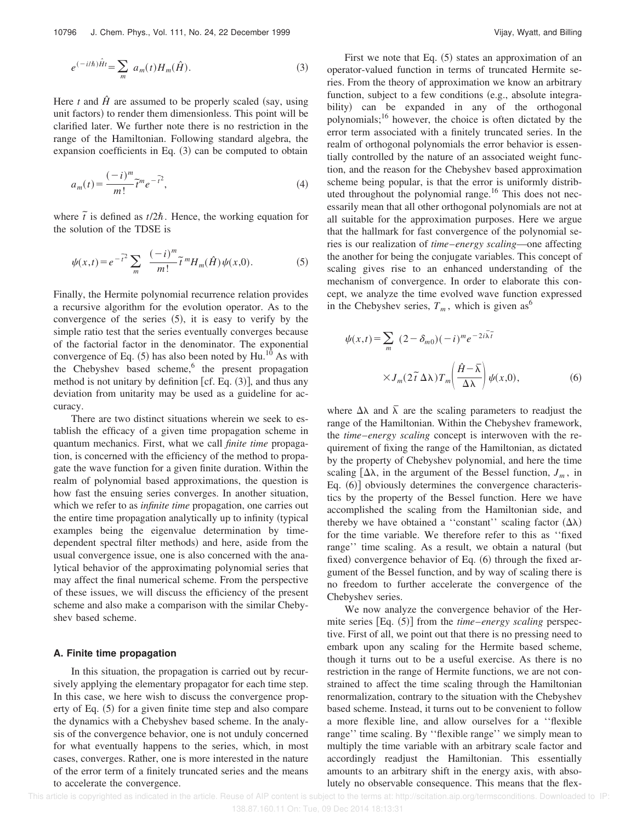$$
e^{(-i/\hbar)\hat{H}t} = \sum_{m} a_{m}(t)H_{m}(\hat{H}).
$$
\n(3)

Here *t* and  $\hat{H}$  are assumed to be properly scaled (say, using unit factors) to render them dimensionless. This point will be clarified later. We further note there is no restriction in the range of the Hamiltonian. Following standard algebra, the expansion coefficients in Eq.  $(3)$  can be computed to obtain

$$
a_m(t) = \frac{(-i)^m}{m!} \tilde{t}^m e^{-\tilde{t}^2},
$$
\n(4)

where  $\tilde{t}$  is defined as  $t/2\hbar$ . Hence, the working equation for the solution of the TDSE is

$$
\psi(x,t) = e^{-\tilde{t}^2} \sum_{m} \frac{(-i)^m}{m!} \tilde{t}^m H_m(\hat{H}) \psi(x,0).
$$
 (5)

Finally, the Hermite polynomial recurrence relation provides a recursive algorithm for the evolution operator. As to the convergence of the series  $(5)$ , it is easy to verify by the simple ratio test that the series eventually converges because of the factorial factor in the denominator. The exponential convergence of Eq.  $(5)$  has also been noted by Hu.<sup>10</sup> As with the Chebyshev based scheme, $6$  the present propagation method is not unitary by definition [cf. Eq.  $(3)$ ], and thus any deviation from unitarity may be used as a guideline for accuracy.

There are two distinct situations wherein we seek to establish the efficacy of a given time propagation scheme in quantum mechanics. First, what we call *finite time* propagation, is concerned with the efficiency of the method to propagate the wave function for a given finite duration. Within the realm of polynomial based approximations, the question is how fast the ensuing series converges. In another situation, which we refer to as *infinite time* propagation, one carries out the entire time propagation analytically up to infinity (typical examples being the eigenvalue determination by timedependent spectral filter methods) and here, aside from the usual convergence issue, one is also concerned with the analytical behavior of the approximating polynomial series that may affect the final numerical scheme. From the perspective of these issues, we will discuss the efficiency of the present scheme and also make a comparison with the similar Chebyshev based scheme.

#### **A. Finite time propagation**

In this situation, the propagation is carried out by recursively applying the elementary propagator for each time step. In this case, we here wish to discuss the convergence property of Eq.  $(5)$  for a given finite time step and also compare the dynamics with a Chebyshev based scheme. In the analysis of the convergence behavior, one is not unduly concerned for what eventually happens to the series, which, in most cases, converges. Rather, one is more interested in the nature of the error term of a finitely truncated series and the means to accelerate the convergence.

First we note that Eq.  $(5)$  states an approximation of an operator-valued function in terms of truncated Hermite series. From the theory of approximation we know an arbitrary function, subject to a few conditions (e.g., absolute integrability) can be expanded in any of the orthogonal polynomials;<sup>16</sup> however, the choice is often dictated by the error term associated with a finitely truncated series. In the realm of orthogonal polynomials the error behavior is essentially controlled by the nature of an associated weight function, and the reason for the Chebyshev based approximation scheme being popular, is that the error is uniformly distributed throughout the polynomial range.<sup>16</sup> This does not necessarily mean that all other orthogonal polynomials are not at all suitable for the approximation purposes. Here we argue that the hallmark for fast convergence of the polynomial series is our realization of *time*–*energy scaling*—one affecting the another for being the conjugate variables. This concept of scaling gives rise to an enhanced understanding of the mechanism of convergence. In order to elaborate this concept, we analyze the time evolved wave function expressed in the Chebyshev series,  $T_m$ , which is given as<sup>6</sup>

$$
\psi(x,t) = \sum_{m} (2 - \delta_{m0})(-i)^{m} e^{-2i\overline{\lambda}t}
$$

$$
\times J_{m}(2\tilde{t}\Delta\lambda) T_{m} \left(\frac{\hat{H} - \overline{\lambda}}{\Delta\lambda}\right) \psi(x,0), \tag{6}
$$

where  $\Delta\lambda$  and  $\overline{\lambda}$  are the scaling parameters to readjust the range of the Hamiltonian. Within the Chebyshev framework, the *time*–*energy scaling* concept is interwoven with the requirement of fixing the range of the Hamiltonian, as dictated by the property of Chebyshev polynomial, and here the time scaling  $[\Delta \lambda]$ , in the argument of the Bessel function,  $J_m$ , in Eq.  $(6)$ ] obviously determines the convergence characteristics by the property of the Bessel function. Here we have accomplished the scaling from the Hamiltonian side, and thereby we have obtained a "constant" scaling factor  $(\Delta \lambda)$ for the time variable. We therefore refer to this as ''fixed range" time scaling. As a result, we obtain a natural (but fixed) convergence behavior of Eq.  $(6)$  through the fixed argument of the Bessel function, and by way of scaling there is no freedom to further accelerate the convergence of the Chebyshev series.

We now analyze the convergence behavior of the Hermite series [Eq. (5)] from the *time–energy scaling* perspective. First of all, we point out that there is no pressing need to embark upon any scaling for the Hermite based scheme, though it turns out to be a useful exercise. As there is no restriction in the range of Hermite functions, we are not constrained to affect the time scaling through the Hamiltonian renormalization, contrary to the situation with the Chebyshev based scheme. Instead, it turns out to be convenient to follow a more flexible line, and allow ourselves for a ''flexible range'' time scaling. By ''flexible range'' we simply mean to multiply the time variable with an arbitrary scale factor and accordingly readjust the Hamiltonian. This essentially amounts to an arbitrary shift in the energy axis, with absolutely no observable consequence. This means that the flex-

This article is copyrighted as indicated in the article. Reuse of AIP content is subject to the terms at: http://scitation.aip.org/termsconditions. Downloaded to IP: 138.87.160.11 On: Tue, 09 Dec 2014 18:13:31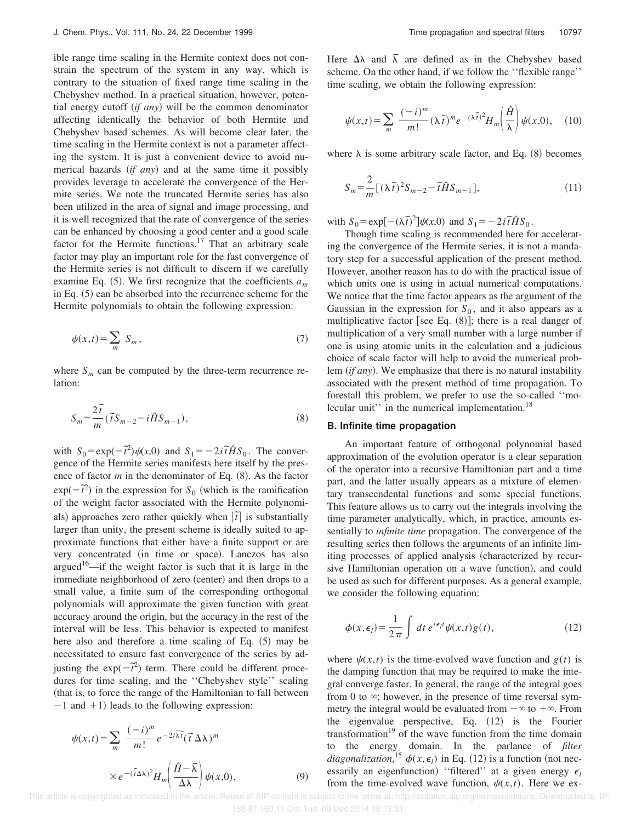ible range time scaling in the Hermite context does not constrain the spectrum of the system in any way, which is contrary to the situation of fixed range time scaling in the Chebyshev method. In a practical situation, however, poten- $\alpha$  tial energy cutoff  $(if any)$  will be the common denominator affecting identically the behavior of both Hermite and Chebyshev based schemes. As will become clear later, the time scaling in the Hermite context is not a parameter affecting the system. It is just a convenient device to avoid numerical hazards (*if any*) and at the same time it possibly provides leverage to accelerate the convergence of the Hermite series. We note the truncated Hermite series has also been utilized in the area of signal and image processing, and it is well recognized that the rate of convergence of the series can be enhanced by choosing a good center and a good scale factor for the Hermite functions.<sup>17</sup> That an arbitrary scale factor may play an important role for the fast convergence of the Hermite series is not difficult to discern if we carefully examine Eq.  $(5)$ . We first recognize that the coefficients  $a_m$ in Eq.  $(5)$  can be absorbed into the recurrence scheme for the Hermite polynomials to obtain the following expression:

$$
\psi(x,t) = \sum_{m} S_m, \qquad (7)
$$

where  $S_m$  can be computed by the three-term recurrence relation:

$$
S_m = \frac{2\tilde{t}}{m} (\tilde{t}S_{m-2} - i\hat{H}S_{m-1}),
$$
\n(8)

with  $S_0 = \exp(-\tilde{t}^2)\psi(x,0)$  and  $S_1 = -2i\tilde{t}HS_0$ . The convergence of the Hermite series manifests here itself by the presence of factor  $m$  in the denominator of Eq.  $(8)$ . As the factor  $\exp(-\tilde{t}^2)$  in the expression for  $S_0$  (which is the ramification of the weight factor associated with the Hermite polynomials) approaches zero rather quickly when  $|\tilde{t}|$  is substantially larger than unity, the present scheme is ideally suited to approximate functions that either have a finite support or are very concentrated (in time or space). Lanczos has also argued<sup>16</sup>—if the weight factor is such that it is large in the immediate neighborhood of zero (center) and then drops to a small value, a finite sum of the corresponding orthogonal polynomials will approximate the given function with great accuracy around the origin, but the accuracy in the rest of the interval will be less. This behavior is expected to manifest here also and therefore a time scaling of Eq.  $(5)$  may be necessitated to ensure fast convergence of the series by adjusting the  $exp(-\tilde{t}^2)$  term. There could be different procedures for time scaling, and the ''Chebyshev style'' scaling (that is, to force the range of the Hamiltonian to fall between  $-1$  and  $+1$ ) leads to the following expression:

$$
\psi(x,t) = \sum_{m} \frac{(-i)^m}{m!} e^{-2i\overline{\lambda} \tilde{t}} (\tilde{t} \Delta \lambda)^m
$$

$$
\times e^{-(\tilde{t}\Delta \lambda)^2} H_m \left( \frac{\hat{H} - \overline{\lambda}}{\Delta \lambda} \right) \psi(x,0).
$$
 (9)

Here  $\Delta\lambda$  and  $\overline{\lambda}$  are defined as in the Chebyshev based scheme. On the other hand, if we follow the ''flexible range'' time scaling, we obtain the following expression:

$$
\psi(x,t) = \sum_{m} \frac{(-i)^m}{m!} (\lambda \tilde{t})^m e^{-(\lambda \tilde{t})^2} H_m\left(\frac{\hat{H}}{\lambda}\right) \psi(x,0), \quad (10)
$$

where  $\lambda$  is some arbitrary scale factor, and Eq. (8) becomes

$$
S_m = \frac{2}{m} \left[ (\lambda \tilde{t})^2 S_{m-2} - \tilde{t} \hat{H} S_{m-1} \right],\tag{11}
$$

with  $S_0 = \exp[-(\lambda \tilde{t})^2] \psi(x,0)$  and  $S_1 = -2i \tilde{t} \tilde{t} \hat{H} S_0$ .

Though time scaling is recommended here for accelerating the convergence of the Hermite series, it is not a mandatory step for a successful application of the present method. However, another reason has to do with the practical issue of which units one is using in actual numerical computations. We notice that the time factor appears as the argument of the Gaussian in the expression for  $S_0$ , and it also appears as a multiplicative factor [see Eq.  $(8)$ ]; there is a real danger of multiplication of a very small number with a large number if one is using atomic units in the calculation and a judicious choice of scale factor will help to avoid the numerical problem (*if any*). We emphasize that there is no natural instability associated with the present method of time propagation. To forestall this problem, we prefer to use the so-called ''molecular unit" in the numerical implementation.<sup>18</sup>

### **B. Infinite time propagation**

An important feature of orthogonal polynomial based approximation of the evolution operator is a clear separation of the operator into a recursive Hamiltonian part and a time part, and the latter usually appears as a mixture of elementary transcendental functions and some special functions. This feature allows us to carry out the integrals involving the time parameter analytically, which, in practice, amounts essentially to *infinite time* propagation. The convergence of the resulting series then follows the arguments of an infinite limiting processes of applied analysis (characterized by recursive Hamiltonian operation on a wave function), and could be used as such for different purposes. As a general example, we consider the following equation:

$$
\phi(x,\epsilon_l) = \frac{1}{2\pi} \int dt \, e^{i\epsilon_l t} \psi(x,t) g(t),\tag{12}
$$

where  $\psi(x,t)$  is the time-evolved wave function and  $g(t)$  is the damping function that may be required to make the integral converge faster. In general, the range of the integral goes from 0 to  $\infty$ ; however, in the presence of time reversal symmetry the integral would be evaluated from  $-\infty$  to  $+\infty$ . From the eigenvalue perspective, Eq.  $(12)$  is the Fourier transformation<sup>19</sup> of the wave function from the time domain to the energy domain. In the parlance of *filter diagonalization*,<sup>15</sup>  $\phi(x, \epsilon)$  in Eq. (12) is a function (not necessarily an eigenfunction) "filtered" at a given energy  $\epsilon_l$ from the time-evolved wave function,  $\psi(x,t)$ . Here we ex-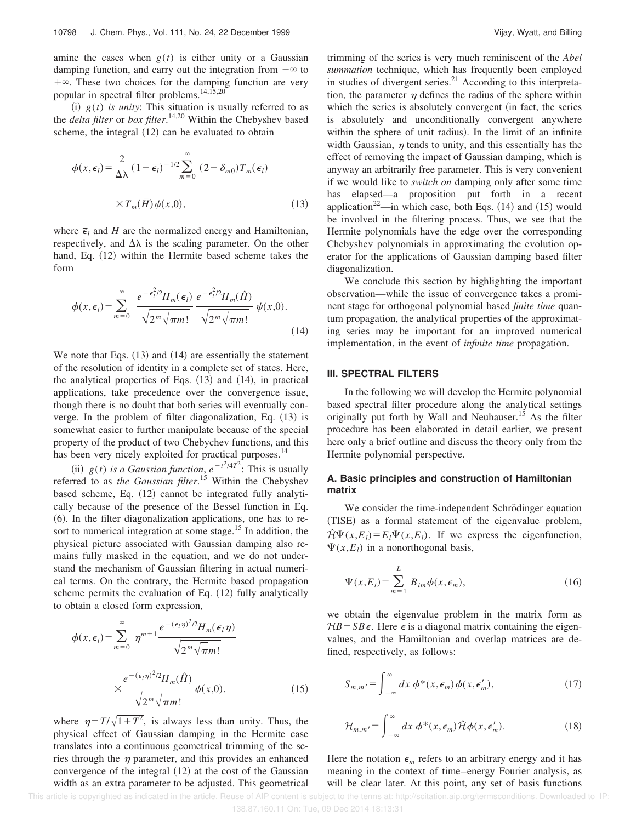amine the cases when  $g(t)$  is either unity or a Gaussian damping function, and carry out the integration from  $-\infty$  to  $+\infty$ . These two choices for the damping function are very popular in spectral filter problems.<sup>14,15,20</sup>

(i)  $g(t)$  *is unity*: This situation is usually referred to as the *delta filter* or *box filter*. 14,20 Within the Chebyshev based scheme, the integral  $(12)$  can be evaluated to obtain

$$
\phi(x, \epsilon_l) = \frac{2}{\Delta \lambda} (1 - \overline{\epsilon_l})^{-1/2} \sum_{m=0}^{\infty} (2 - \delta_{m0}) T_m(\overline{\epsilon_l})
$$

$$
\times T_m(\overline{H}) \psi(x, 0), \qquad (13)
$$

where  $\bar{\epsilon}_l$  and  $\bar{H}$  are the normalized energy and Hamiltonian, respectively, and  $\Delta\lambda$  is the scaling parameter. On the other hand, Eq.  $(12)$  within the Hermite based scheme takes the form

$$
\phi(x,\epsilon_l) = \sum_{m=0}^{\infty} \frac{e^{-\epsilon_l^2/2} H_m(\epsilon_l)}{\sqrt{2^m \sqrt{\pi m!}}} \frac{e^{-\epsilon_l^2/2} H_m(\hat{H})}{\sqrt{2^m \sqrt{\pi m!}}} \psi(x,0).
$$
\n(14)

We note that Eqs.  $(13)$  and  $(14)$  are essentially the statement of the resolution of identity in a complete set of states. Here, the analytical properties of Eqs.  $(13)$  and  $(14)$ , in practical applications, take precedence over the convergence issue, though there is no doubt that both series will eventually converge. In the problem of filter diagonalization, Eq.  $(13)$  is somewhat easier to further manipulate because of the special property of the product of two Chebychev functions, and this has been very nicely exploited for practical purposes.<sup>14</sup>

(ii)  $g(t)$  *is a Gaussian function,*  $e^{-t^2/4T^2}$ . This is usually referred to as *the Gaussian filter*. <sup>15</sup> Within the Chebyshev based scheme, Eq. (12) cannot be integrated fully analytically because of the presence of the Bessel function in Eq.  $(6)$ . In the filter diagonalization applications, one has to resort to numerical integration at some stage.<sup>15</sup> In addition, the physical picture associated with Gaussian damping also remains fully masked in the equation, and we do not understand the mechanism of Gaussian filtering in actual numerical terms. On the contrary, the Hermite based propagation scheme permits the evaluation of Eq.  $(12)$  fully analytically to obtain a closed form expression,

$$
\phi(x, \epsilon_{l}) = \sum_{m=0}^{\infty} \eta^{m+1} \frac{e^{-(\epsilon_{l}\eta)^{2}/2} H_{m}(\epsilon_{l}\eta)}{\sqrt{2^{m}\sqrt{\pi}m!}}
$$

$$
\times \frac{e^{-(\epsilon_{l}\eta)^{2}/2} H_{m}(\hat{H})}{\sqrt{2^{m}\sqrt{\pi}m!}} \psi(x, 0). \tag{15}
$$

where  $\eta = T/\sqrt{1+T^2}$ , is always less than unity. Thus, the physical effect of Gaussian damping in the Hermite case translates into a continuous geometrical trimming of the series through the  $\eta$  parameter, and this provides an enhanced convergence of the integral  $(12)$  at the cost of the Gaussian width as an extra parameter to be adjusted. This geometrical trimming of the series is very much reminiscent of the *Abel summation* technique, which has frequently been employed in studies of divergent series. $^{21}$  According to this interpretation, the parameter  $\eta$  defines the radius of the sphere within which the series is absolutely convergent (in fact, the series is absolutely and unconditionally convergent anywhere within the sphere of unit radius). In the limit of an infinite width Gaussian,  $\eta$  tends to unity, and this essentially has the effect of removing the impact of Gaussian damping, which is anyway an arbitrarily free parameter. This is very convenient if we would like to *switch on* damping only after some time has elapsed—a proposition put forth in a recent application<sup>22</sup>—in which case, both Eqs.  $(14)$  and  $(15)$  would be involved in the filtering process. Thus, we see that the Hermite polynomials have the edge over the corresponding Chebyshev polynomials in approximating the evolution operator for the applications of Gaussian damping based filter diagonalization.

We conclude this section by highlighting the important observation—while the issue of convergence takes a prominent stage for orthogonal polynomial based *finite time* quantum propagation, the analytical properties of the approximating series may be important for an improved numerical implementation, in the event of *infinite time* propagation.

## **III. SPECTRAL FILTERS**

In the following we will develop the Hermite polynomial based spectral filter procedure along the analytical settings originally put forth by Wall and Neuhauser.<sup>15</sup> As the filter procedure has been elaborated in detail earlier, we present here only a brief outline and discuss the theory only from the Hermite polynomial perspective.

## **A. Basic principles and construction of Hamiltonian matrix**

We consider the time-independent Schrödinger equation (TISE) as a formal statement of the eigenvalue problem,  $\hat{\mathcal{H}}\Psi(x,E_l) = E_l\Psi(x,E_l)$ . If we express the eigenfunction,  $\Psi(x, E_l)$  in a nonorthogonal basis,

$$
\Psi(x, E_l) = \sum_{m=1}^{L} B_{lm} \phi(x, \epsilon_m), \qquad (16)
$$

we obtain the eigenvalue problem in the matrix form as  $\mathcal{H}B = SB \epsilon$ . Here  $\epsilon$  is a diagonal matrix containing the eigenvalues, and the Hamiltonian and overlap matrices are defined, respectively, as follows:

$$
S_{m,m'} = \int_{-\infty}^{\infty} dx \, \phi^*(x, \epsilon_m) \phi(x, \epsilon'_m), \tag{17}
$$

$$
\mathcal{H}_{m,m'} = \int_{-\infty}^{\infty} dx \, \phi^*(x, \epsilon_m) \hat{\mathcal{H}} \phi(x, \epsilon'_m). \tag{18}
$$

Here the notation  $\epsilon_m$  refers to an arbitrary energy and it has meaning in the context of time–energy Fourier analysis, as will be clear later. At this point, any set of basis functions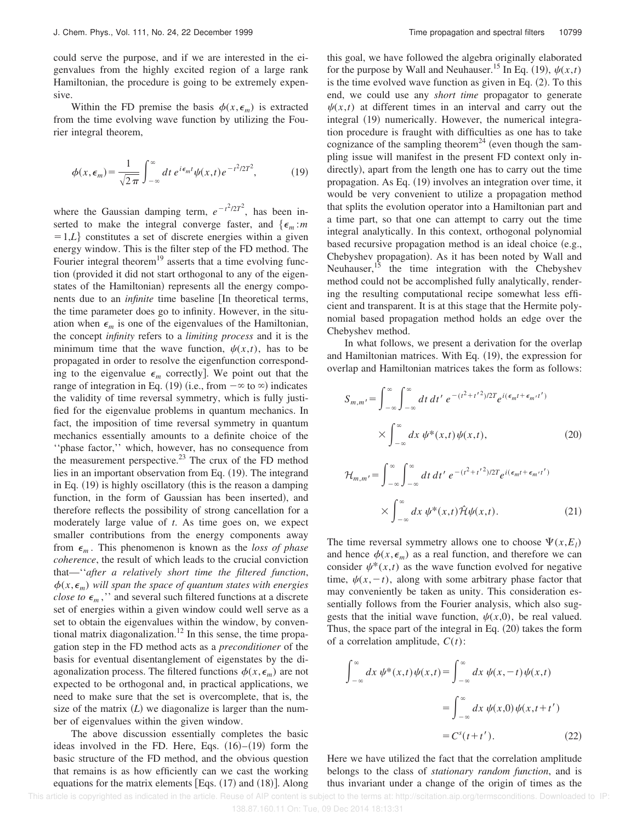could serve the purpose, and if we are interested in the eigenvalues from the highly excited region of a large rank Hamiltonian, the procedure is going to be extremely expensive.

Within the FD premise the basis  $\phi(x, \epsilon_m)$  is extracted from the time evolving wave function by utilizing the Fourier integral theorem,

$$
\phi(x,\epsilon_m) = \frac{1}{\sqrt{2\pi}} \int_{-\infty}^{\infty} dt \, e^{i\epsilon_m t} \psi(x,t) e^{-t^2/2T^2},\tag{19}
$$

where the Gaussian damping term,  $e^{-t^2/2T^2}$ , has been inserted to make the integral converge faster, and  $\{\epsilon_m : m\}$  $=1,L$ } constitutes a set of discrete energies within a given energy window. This is the filter step of the FD method. The Fourier integral theorem<sup>19</sup> asserts that a time evolving function (provided it did not start orthogonal to any of the eigenstates of the Hamiltonian) represents all the energy components due to an *infinite* time baseline [In theoretical terms, the time parameter does go to infinity. However, in the situation when  $\epsilon_m$  is one of the eigenvalues of the Hamiltonian, the concept *infinity* refers to a *limiting process* and it is the minimum time that the wave function,  $\psi(x,t)$ , has to be propagated in order to resolve the eigenfunction corresponding to the eigenvalue  $\epsilon_m$  correctly]. We point out that the range of integration in Eq. (19) (i.e., from  $-\infty$  to  $\infty$ ) indicates the validity of time reversal symmetry, which is fully justified for the eigenvalue problems in quantum mechanics. In fact, the imposition of time reversal symmetry in quantum mechanics essentially amounts to a definite choice of the ''phase factor,'' which, however, has no consequence from the measurement perspective. $2<sup>3</sup>$  The crux of the FD method lies in an important observation from Eq. (19). The integrand in Eq.  $(19)$  is highly oscillatory (this is the reason a damping function, in the form of Gaussian has been inserted), and therefore reflects the possibility of strong cancellation for a moderately large value of *t*. As time goes on, we expect smaller contributions from the energy components away from  $\epsilon_m$ . This phenomenon is known as the *loss of phase coherence*, the result of which leads to the crucial conviction that—''*after a relatively short time the filtered function*,  $\phi(x, \epsilon_m)$  will span the space of quantum states with energies *close to*  $\epsilon_m$ ," and several such filtered functions at a discrete set of energies within a given window could well serve as a set to obtain the eigenvalues within the window, by conventional matrix diagonalization.<sup>12</sup> In this sense, the time propagation step in the FD method acts as a *preconditioner* of the basis for eventual disentanglement of eigenstates by the diagonalization process. The filtered functions  $\phi(x, \epsilon_m)$  are not expected to be orthogonal and, in practical applications, we need to make sure that the set is overcomplete, that is, the size of the matrix  $(L)$  we diagonalize is larger than the number of eigenvalues within the given window.

The above discussion essentially completes the basic ideas involved in the FD. Here, Eqs.  $(16)$ – $(19)$  form the basic structure of the FD method, and the obvious question that remains is as how efficiently can we cast the working equations for the matrix elements [Eqs.  $(17)$  and  $(18)$ ]. Along this goal, we have followed the algebra originally elaborated for the purpose by Wall and Neuhauser.<sup>15</sup> In Eq. (19),  $\psi(x,t)$ is the time evolved wave function as given in Eq.  $(2)$ . To this end, we could use any *short time* propagator to generate  $\psi(x,t)$  at different times in an interval and carry out the integral (19) numerically. However, the numerical integration procedure is fraught with difficulties as one has to take cognizance of the sampling theorem<sup>24</sup> (even though the sampling issue will manifest in the present FD context only indirectly), apart from the length one has to carry out the time propagation. As Eq.  $(19)$  involves an integration over time, it would be very convenient to utilize a propagation method that splits the evolution operator into a Hamiltonian part and a time part, so that one can attempt to carry out the time integral analytically. In this context, orthogonal polynomial based recursive propagation method is an ideal choice  $(e.g.,)$ Chebyshev propagation). As it has been noted by Wall and Neuhauser, $15$  the time integration with the Chebyshev method could not be accomplished fully analytically, rendering the resulting computational recipe somewhat less efficient and transparent. It is at this stage that the Hermite polynomial based propagation method holds an edge over the Chebyshev method.

In what follows, we present a derivation for the overlap and Hamiltonian matrices. With Eq.  $(19)$ , the expression for overlap and Hamiltonian matrices takes the form as follows:

$$
S_{m,m'} = \int_{-\infty}^{\infty} \int_{-\infty}^{\infty} dt \, dt' \, e^{-(t^2 + t'^2)/2T} e^{i(\epsilon_m t + \epsilon_{m'} t')}
$$

$$
\times \int_{-\infty}^{\infty} dx \, \psi^*(x, t) \psi(x, t), \qquad (20)
$$

$$
\mathcal{H}_{m,m'} = \int_{-\infty}^{\infty} \int_{-\infty}^{\infty} dt \, dt' \, e^{-(t^2 + t'^2)/2T} e^{i(\epsilon_m t + \epsilon_{m'} t')}
$$

$$
\times \int_{-\infty}^{\infty} dx \, \psi^*(x, t) \hat{\mathcal{H}} \psi(x, t).
$$
(21)

The time reversal symmetry allows one to choose  $\Psi(x, E_l)$ and hence  $\phi(x, \epsilon_m)$  as a real function, and therefore we can consider  $\psi^*(x,t)$  as the wave function evolved for negative time,  $\psi(x, -t)$ , along with some arbitrary phase factor that may conveniently be taken as unity. This consideration essentially follows from the Fourier analysis, which also suggests that the initial wave function,  $\psi(x,0)$ , be real valued. Thus, the space part of the integral in Eq.  $(20)$  takes the form of a correlation amplitude, *C*(*t*):

$$
\int_{-\infty}^{\infty} dx \, \psi^*(x,t) \psi(x,t) = \int_{-\infty}^{\infty} dx \, \psi(x,-t) \psi(x,t)
$$

$$
= \int_{-\infty}^{\infty} dx \, \psi(x,0) \psi(x,t+t')
$$

$$
= C^s(t+t'). \tag{22}
$$

Here we have utilized the fact that the correlation amplitude belongs to the class of *stationary random function*, and is thus invariant under a change of the origin of times as the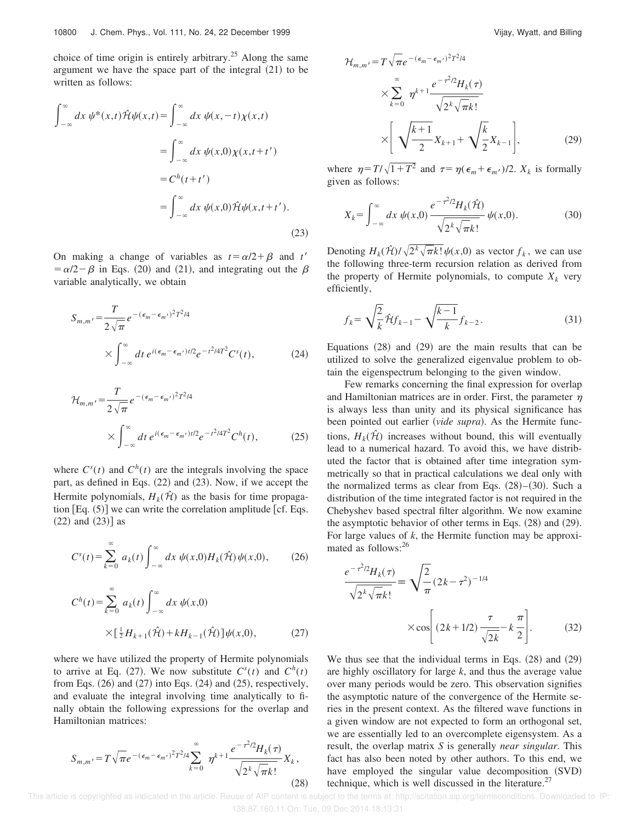choice of time origin is entirely arbitrary.<sup>25</sup> Along the same argument we have the space part of the integral  $(21)$  to be written as follows:

$$
\int_{-\infty}^{\infty} dx \, \psi^*(x,t) \hat{\mathcal{H}} \psi(x,t) = \int_{-\infty}^{\infty} dx \, \psi(x,-t) \chi(x,t)
$$

$$
= \int_{-\infty}^{\infty} dx \, \psi(x,0) \chi(x,t+t')
$$

$$
= C^h(t+t')
$$

$$
= \int_{-\infty}^{\infty} dx \, \psi(x,0) \hat{\mathcal{H}} \psi(x,t+t'). \tag{23}
$$

On making a change of variables as  $t = \alpha/2 + \beta$  and *t'*  $= \alpha/2 - \beta$  in Eqs. (20) and (21), and integrating out the  $\beta$ variable analytically, we obtain

$$
S_{m,m'} = \frac{T}{2\sqrt{\pi}} e^{-(\epsilon_m - \epsilon_{m'})^2 T^2 / 4}
$$

$$
\times \int_{-\infty}^{\infty} dt \, e^{i(\epsilon_m - \epsilon_{m'}) t/2} e^{-t^2 / 4T^2} C^s(t), \tag{24}
$$

$$
\mathcal{H}_{m,m'} = \frac{T}{2\sqrt{\pi}} e^{-(\epsilon_m - \epsilon_{m'})^2 T^2 / 4}
$$
\n
$$
\times \int_{-\infty}^{\infty} dt \, e^{i(\epsilon_m - \epsilon_{m'})t/2} e^{-t^2 / 4T^2} C^h(t), \tag{25}
$$

where  $C^{s}(t)$  and  $C^{h}(t)$  are the integrals involving the space part, as defined in Eqs.  $(22)$  and  $(23)$ . Now, if we accept the Hermite polynomials,  $H_k(\hat{\mathcal{H}})$  as the basis for time propagation  $[Eq. (5)]$  we can write the correlation amplitude  $[cf. Eqs.$  $(22)$  and  $(23)$ ] as

$$
C^{s}(t) = \sum_{k=0}^{\infty} a_{k}(t) \int_{-\infty}^{\infty} dx \, \psi(x,0) H_{k}(\hat{\mathcal{H}}) \psi(x,0), \qquad (26)
$$

$$
C^{h}(t) = \sum_{k=0}^{\infty} a_{k}(t) \int_{-\infty}^{\infty} dx \psi(x,0)
$$

$$
\times \left[\frac{1}{2}H_{k+1}(\hat{\mathcal{H}}) + kH_{k-1}(\hat{\mathcal{H}})\right]\psi(x,0), \tag{27}
$$

where we have utilized the property of Hermite polynomials to arrive at Eq. (27). We now substitute  $C^{s}(t)$  and  $C^{h}(t)$ from Eqs.  $(26)$  and  $(27)$  into Eqs.  $(24)$  and  $(25)$ , respectively, and evaluate the integral involving time analytically to finally obtain the following expressions for the overlap and Hamiltonian matrices:

$$
S_{m,m'} = T\sqrt{\pi}e^{-(\epsilon_m - \epsilon_{m'})^2 T^2/4} \sum_{k=0}^{\infty} \eta^{k+1} \frac{e^{-\tau^2/2} H_k(\tau)}{\sqrt{2^k \sqrt{\pi} k!}} X_k,
$$
\n(28)

$$
\mathcal{H}_{m,m'} = T\sqrt{\pi}e^{-(\epsilon_m - \epsilon_{m'})^2T^2/4}
$$
\n
$$
\times \sum_{k=0}^{\infty} \eta^{k+1} \frac{e^{-\tau^2/2}H_k(\tau)}{\sqrt{2^k\sqrt{\pi}k!}}
$$
\n
$$
\times \left[ \sqrt{\frac{k+1}{2}} X_{k+1} + \sqrt{\frac{k}{2}} X_{k-1} \right],
$$
\n(29)

where  $\eta = T/\sqrt{1+T^2}$  and  $\tau = \eta(\epsilon_m + \epsilon_{m'})/2$ .  $X_k$  is formally given as follows:

$$
X_k = \int_{-\infty}^{\infty} dx \, \psi(x,0) \, \frac{e^{-\tau^2/2} H_k(\hat{\mathcal{H}})}{\sqrt{2^k \sqrt{\pi} k!}} \, \psi(x,0). \tag{30}
$$

Denoting  $H_k(\hat{\mathcal{H}})/\sqrt{2^k \sqrt{\pi k!}} \psi(x,0)$  as vector  $f_k$ , we can use the following three-term recursion relation as derived from the property of Hermite polynomials, to compute  $X_k$  very efficiently,

$$
f_k = \sqrt{\frac{2}{k}} \hat{\mathcal{H}} f_{k-1} - \sqrt{\frac{k-1}{k}} f_{k-2}.
$$
 (31)

Equations  $(28)$  and  $(29)$  are the main results that can be utilized to solve the generalized eigenvalue problem to obtain the eigenspectrum belonging to the given window.

Few remarks concerning the final expression for overlap and Hamiltonian matrices are in order. First, the parameter  $\eta$ is always less than unity and its physical significance has been pointed out earlier (vide supra). As the Hermite functions,  $H_k(\hat{\mathcal{H}})$  increases without bound, this will eventually lead to a numerical hazard. To avoid this, we have distributed the factor that is obtained after time integration symmetrically so that in practical calculations we deal only with the normalized terms as clear from Eqs.  $(28)–(30)$ . Such a distribution of the time integrated factor is not required in the Chebyshev based spectral filter algorithm. We now examine the asymptotic behavior of other terms in Eqs.  $(28)$  and  $(29)$ . For large values of *k*, the Hermite function may be approximated as follows:<sup>26</sup>

$$
\frac{e^{-\tau^2/2}H_k(\tau)}{\sqrt{2^k\sqrt{\pi}k!}} = \sqrt{\frac{2}{\pi}}(2k-\tau^2)^{-1/4}
$$

$$
\times \cos\left[(2k+1/2)\frac{\tau}{\sqrt{2k}} - k\frac{\pi}{2}\right].
$$
(32)

We thus see that the individual terms in Eqs.  $(28)$  and  $(29)$ are highly oscillatory for large *k*, and thus the average value over many periods would be zero. This observation signifies the asymptotic nature of the convergence of the Hermite series in the present context. As the filtered wave functions in a given window are not expected to form an orthogonal set, we are essentially led to an overcomplete eigensystem. As a result, the overlap matrix *S* is generally *near singular*. This fact has also been noted by other authors. To this end, we have employed the singular value decomposition (SVD) technique, which is well discussed in the literature.<sup>2</sup>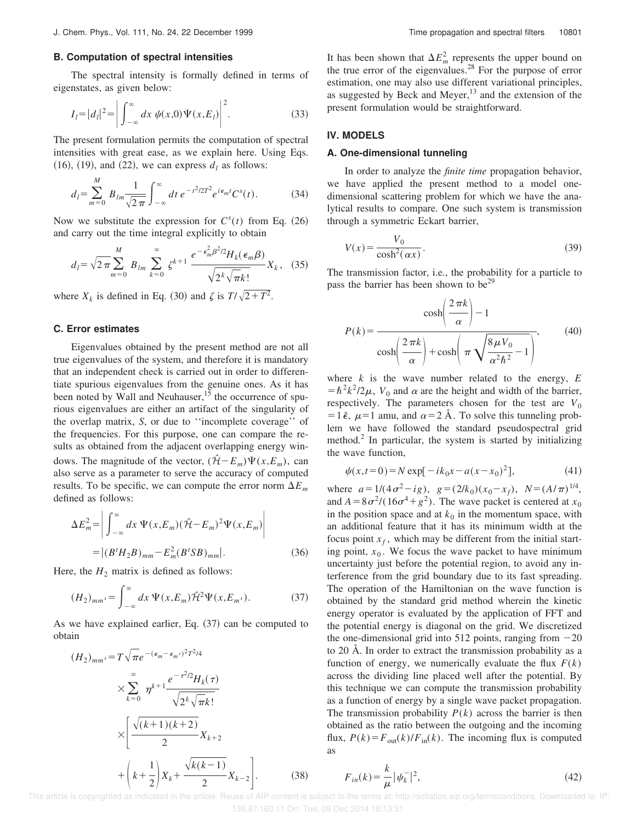#### **B. Computation of spectral intensities**

The spectral intensity is formally defined in terms of eigenstates, as given below:

$$
I_{l} = |d_{l}|^{2} = \left| \int_{-\infty}^{\infty} dx \, \psi(x,0) \Psi(x, E_{l}) \right|^{2}.
$$
 (33)

The present formulation permits the computation of spectral intensities with great ease, as we explain here. Using Eqs.  $(16)$ ,  $(19)$ , and  $(22)$ , we can express  $d_l$  as follows:

$$
d_{l} = \sum_{m=0}^{M} B_{lm} \frac{1}{\sqrt{2\pi}} \int_{-\infty}^{\infty} dt \, e^{-t^{2}/2T^{2}} e^{i\epsilon_{m}t} C^{s}(t). \tag{34}
$$

Now we substitute the expression for  $C<sup>s</sup>(t)$  from Eq. (26) and carry out the time integral explicitly to obtain

$$
d_l = \sqrt{2\pi} \sum_{m=0}^{M} B_{lm} \sum_{k=0}^{\infty} \zeta^{k+1} \frac{e^{-\epsilon_m^2 \beta^2 / 2} H_k(\epsilon_m \beta)}{\sqrt{2^k \sqrt{\pi k!}}} X_k, \quad (35)
$$

where  $X_k$  is defined in Eq. (30) and  $\zeta$  is  $T/\sqrt{2+T^2}$ .

## **C. Error estimates**

Eigenvalues obtained by the present method are not all true eigenvalues of the system, and therefore it is mandatory that an independent check is carried out in order to differentiate spurious eigenvalues from the genuine ones. As it has been noted by Wall and Neuhauser, $15$  the occurrence of spurious eigenvalues are either an artifact of the singularity of the overlap matrix, *S*, or due to ''incomplete coverage'' of the frequencies. For this purpose, one can compare the results as obtained from the adjacent overlapping energy windows. The magnitude of the vector,  $(\hat{\mathcal{H}} - E_m)\Psi(x, E_m)$ , can also serve as a parameter to serve the accuracy of computed results. To be specific, we can compute the error norm  $\Delta E_m$ defined as follows:

$$
\Delta E_m^2 = \left| \int_{-\infty}^{\infty} dx \, \Psi(x, E_m) (\hat{\mathcal{H}} - E_m)^2 \Psi(x, E_m) \right|
$$
  
=  $|(B^t H_2 B)_{mm} - E_m^2 (B^t S B)_{mm}|.$  (36)

Here, the  $H_2$  matrix is defined as follows:

$$
(H_2)_{mm'} = \int_{-\infty}^{\infty} dx \, \Psi(x, E_m) \hat{\mathcal{H}}^2 \Psi(x, E_{m'}).
$$
 (37)

As we have explained earlier, Eq.  $(37)$  can be computed to obtain

$$
(H_2)_{mm'} = T\sqrt{\pi}e^{-(\epsilon_m - \epsilon_{m'})^2 T^2/4}
$$
  

$$
\times \sum_{k=0}^{\infty} \eta^{k+1} \frac{e^{-\tau^2/2}H_k(\tau)}{\sqrt{2^k\sqrt{\pi}k!}}
$$
  

$$
\times \left[ \frac{\sqrt{(k+1)(k+2)}}{2} X_{k+2} + \left(k + \frac{1}{2}\right) X_k + \frac{\sqrt{k(k-1)}}{2} X_{k-2} \right].
$$
 (38)

It has been shown that  $\Delta E_m^2$  represents the upper bound on the true error of the eigenvalues.<sup>28</sup> For the purpose of error estimation, one may also use different variational principles, as suggested by Beck and Meyer, $13$  and the extension of the present formulation would be straightforward.

### **IV. MODELS**

### **A. One-dimensional tunneling**

In order to analyze the *finite time* propagation behavior, we have applied the present method to a model onedimensional scattering problem for which we have the analytical results to compare. One such system is transmission through a symmetric Eckart barrier,

$$
V(x) = \frac{V_0}{\cosh^2(\alpha x)}.
$$
\n(39)

The transmission factor, i.e., the probability for a particle to pass the barrier has been shown to be<sup>29</sup>

$$
P(k) = \frac{\cosh\left(\frac{2\pi k}{\alpha}\right) - 1}{\cosh\left(\frac{2\pi k}{\alpha}\right) + \cosh\left(\pi \sqrt{\frac{8\mu V_0}{\alpha^2 \hbar^2} - 1}\right)},\tag{40}
$$

where  $k$  is the wave number related to the energy,  $E$  $=$  $\hbar^2 k^2/2\mu$ , *V*<sub>0</sub> and  $\alpha$  are the height and width of the barrier, respectively. The parameters chosen for the test are  $V_0$  $=1\hat{\epsilon}$ ,  $\mu=1$  amu, and  $\alpha=2$  Å. To solve this tunneling problem we have followed the standard pseudospectral grid method.<sup>2</sup> In particular, the system is started by initializing the wave function,

$$
\psi(x,t=0) = N \exp[-ik_0x - a(x-x_0)^2],\tag{41}
$$

where  $a = 1/(4\sigma^2 - ig)$ ,  $g = (2/k_0)(x_0 - x_f)$ ,  $N = (A/\pi)^{1/4}$ , and  $A = 8 \sigma^2 / (16 \sigma^4 + g^2)$ . The wave packet is centered at  $x_0$ in the position space and at  $k_0$  in the momentum space, with an additional feature that it has its minimum width at the focus point  $x_f$ , which may be different from the initial starting point,  $x_0$ . We focus the wave packet to have minimum uncertainty just before the potential region, to avoid any interference from the grid boundary due to its fast spreading. The operation of the Hamiltonian on the wave function is obtained by the standard grid method wherein the kinetic energy operator is evaluated by the application of FFT and the potential energy is diagonal on the grid. We discretized the one-dimensional grid into 512 points, ranging from  $-20$ to 20 Å. In order to extract the transmission probability as a function of energy, we numerically evaluate the flux  $F(k)$ across the dividing line placed well after the potential. By this technique we can compute the transmission probability as a function of energy by a single wave packet propagation. The transmission probability  $P(k)$  across the barrier is then obtained as the ratio between the outgoing and the incoming flux,  $P(k) = F_{\text{out}}(k)/F_{\text{in}}(k)$ . The incoming flux is computed as

$$
F_{in}(k) = \frac{k}{\mu} |\psi_k^-|^2,
$$
\n(42)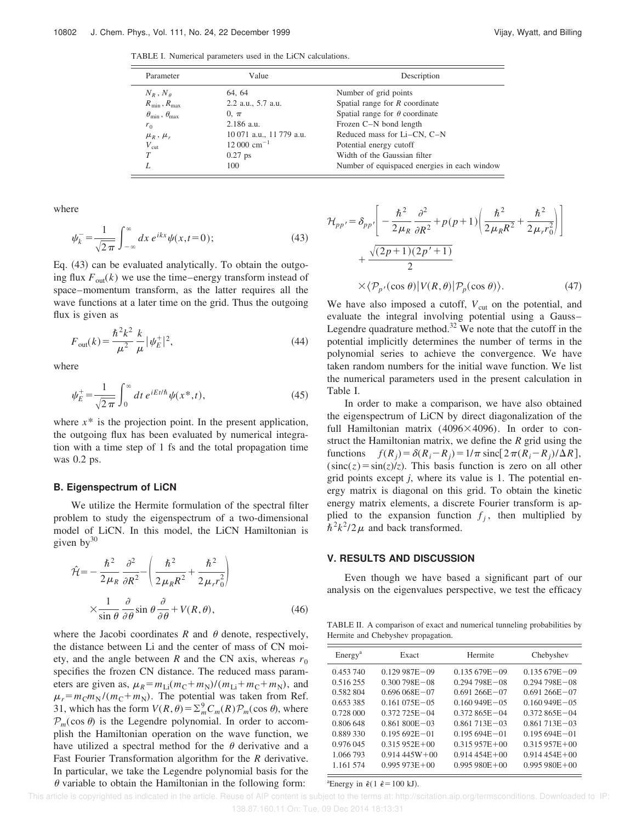TABLE I. Numerical parameters used in the LiCN calculations.

| Parameter                            | Value                    | Description                                  |
|--------------------------------------|--------------------------|----------------------------------------------|
| $N_R$ , $N_\theta$                   | 64, 64                   | Number of grid points                        |
| $R_{\min}$ , $R_{\max}$              | 2.2 a.u., 5.7 a.u.       | Spatial range for $R$ coordinate             |
| $\theta_{\rm min}, \theta_{\rm max}$ | $0, \pi$                 | Spatial range for $\theta$ coordinate        |
| $r_0$                                | 2.186 a.u.               | Frozen C-N bond length                       |
| $\mu_R$ , $\mu_r$                    | 10 071 a.u., 11 779 a.u. | Reduced mass for Li–CN, C–N                  |
| $V_{\text{cut}}$                     | $12000 \text{ cm}^{-1}$  | Potential energy cutoff                      |
| T                                    | $0.27$ ps                | Width of the Gaussian filter                 |
|                                      | 100                      | Number of equispaced energies in each window |

where

$$
\psi_k^- = \frac{1}{\sqrt{2\pi}} \int_{-\infty}^{\infty} dx \, e^{ikx} \psi(x, t=0); \tag{43}
$$

Eq.  $(43)$  can be evaluated analytically. To obtain the outgoing flux  $F_{\text{out}}(k)$  we use the time–energy transform instead of space–momentum transform, as the latter requires all the wave functions at a later time on the grid. Thus the outgoing flux is given as

$$
F_{\text{out}}(k) = \frac{\hbar^2 k^2}{\mu^2} \frac{k}{\mu} |\psi_E^+|^2,
$$
 (44)

where

$$
\psi_E^+ = \frac{1}{\sqrt{2\pi}} \int_0^\infty dt \, e^{iEt/\hbar} \psi(x^*, t), \tag{45}
$$

where  $x^*$  is the projection point. In the present application, the outgoing flux has been evaluated by numerical integration with a time step of 1 fs and the total propagation time was 0.2 ps.

#### **B. Eigenspectrum of LiCN**

We utilize the Hermite formulation of the spectral filter problem to study the eigenspectrum of a two-dimensional model of LiCN. In this model, the LiCN Hamiltonian is given  $by^{30}$ 

$$
\hat{\mathcal{H}} = -\frac{\hbar^2}{2\mu_R} \frac{\partial^2}{\partial R^2} - \left(\frac{\hbar^2}{2\mu_R R^2} + \frac{\hbar^2}{2\mu_r r_0^2}\right)
$$

$$
\times \frac{1}{\sin\theta} \frac{\partial}{\partial \theta} \sin\theta \frac{\partial}{\partial \theta} + V(R, \theta), \tag{46}
$$

where the Jacobi coordinates  $R$  and  $\theta$  denote, respectively, the distance between Li and the center of mass of CN moiety, and the angle between *R* and the CN axis, whereas  $r_0$ specifies the frozen CN distance. The reduced mass parameters are given as,  $\mu_R = m_{\text{Li}}(m_C + m_N)/(m_{\text{Li}} + m_C + m_N)$ , and  $\mu_r = m_C m_N / (m_C + m_N)$ . The potential was taken from Ref. 31, which has the form  $V(R, \theta) = \sum_{m=0}^{9} C_m(R) \mathcal{P}_m(\cos \theta)$ , where  $P_m(\cos \theta)$  is the Legendre polynomial. In order to accomplish the Hamiltonian operation on the wave function, we have utilized a spectral method for the  $\theta$  derivative and a Fast Fourier Transformation algorithm for the *R* derivative. In particular, we take the Legendre polynomial basis for the  $\theta$  variable to obtain the Hamiltonian in the following form:

$$
\mathcal{H}_{pp'} = \delta_{pp'} \left[ -\frac{\hbar^2}{2\mu_R} \frac{\partial^2}{\partial R^2} + p(p+1) \left( \frac{\hbar^2}{2\mu_R R^2} + \frac{\hbar^2}{2\mu_r r_0^2} \right) \right]
$$

+ 
$$
\frac{\sqrt{(2p+1)(2p'+1)}}{2}
$$
  
× $\langle P_{p'}(\cos \theta) | V(R, \theta) | P_p(\cos \theta) \rangle$ . (47)

We have also imposed a cutoff,  $V_{\text{cut}}$  on the potential, and evaluate the integral involving potential using a Gauss– Legendre quadrature method. $32$  We note that the cutoff in the potential implicitly determines the number of terms in the polynomial series to achieve the convergence. We have taken random numbers for the initial wave function. We list the numerical parameters used in the present calculation in Table I.

In order to make a comparison, we have also obtained the eigenspectrum of LiCN by direct diagonalization of the full Hamiltonian matrix  $(4096\times4096)$ . In order to construct the Hamiltonian matrix, we define the *R* grid using the functions  $f(R_j) = \delta(R_i - R_j) = 1/\pi \operatorname{sinc}[2\pi(R_i - R_j)/\Delta R],$  $(sinc(z) = sin(z)/z)$ . This basis function is zero on all other grid points except *j*, where its value is 1. The potential energy matrix is diagonal on this grid. To obtain the kinetic energy matrix elements, a discrete Fourier transform is applied to the expansion function  $f_j$ , then multiplied by  $\hbar^2 k^2/2\mu$  and back transformed.

#### **V. RESULTS AND DISCUSSION**

Even though we have based a significant part of our analysis on the eigenvalues perspective, we test the efficacy

TABLE II. A comparison of exact and numerical tunneling probabilities by Hermite and Chebyshev propagation.

| Energy <sup>a</sup> | Exact            | Hermite          | Chebyshev        |
|---------------------|------------------|------------------|------------------|
| 0.453 740           | $0.129987E - 09$ | $0.135679E - 09$ | $0.135679E - 09$ |
| 0.516 255           | $0.300798E - 08$ | $0.294798E - 08$ | $0.294798E - 08$ |
| 0.582 804           | $0.696068E - 07$ | $0.691266E - 07$ | $0.691266E - 07$ |
| 0.653 385           | $0.161075E - 05$ | $0.160949E - 05$ | $0.160949E - 05$ |
| 0.728 000           | $0.372725E - 04$ | $0.372865E - 04$ | $0.372865E - 04$ |
| 0.806 648           | $0.861800E - 03$ | $0.861713E - 03$ | $0.861713E - 03$ |
| 0.889 330           | $0.195692E - 01$ | $0.195694E - 01$ | $0.195694E - 01$ |
| 0.976 045           | $0.315952E+00$   | $0.315957E+00$   | $0.315957E+00$   |
| 1.066 793           | $0.914445W + 00$ | $0.914454E + 00$ | $0.914454E + 00$ |
| 1.161.574           | $0.995973E + 00$ | $0.995980E + 00$ | $0.995980E + 00$ |

<sup>a</sup>Energy in  $\hat{\epsilon}$ (1  $\hat{\epsilon}$  = 100 kJ).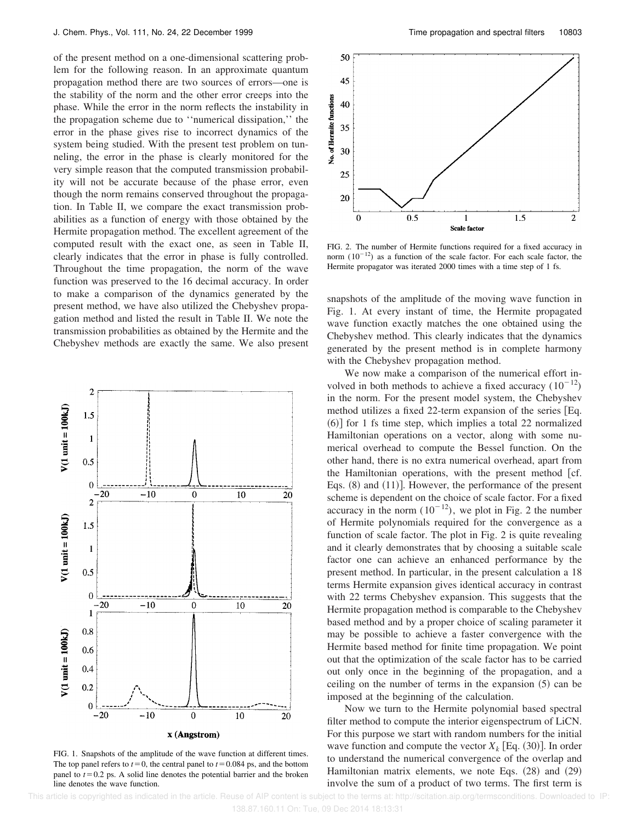of the present method on a one-dimensional scattering problem for the following reason. In an approximate quantum propagation method there are two sources of errors—one is the stability of the norm and the other error creeps into the phase. While the error in the norm reflects the instability in the propagation scheme due to ''numerical dissipation,'' the error in the phase gives rise to incorrect dynamics of the system being studied. With the present test problem on tunneling, the error in the phase is clearly monitored for the very simple reason that the computed transmission probability will not be accurate because of the phase error, even though the norm remains conserved throughout the propagation. In Table II, we compare the exact transmission probabilities as a function of energy with those obtained by the Hermite propagation method. The excellent agreement of the computed result with the exact one, as seen in Table II, clearly indicates that the error in phase is fully controlled. Throughout the time propagation, the norm of the wave function was preserved to the 16 decimal accuracy. In order to make a comparison of the dynamics generated by the present method, we have also utilized the Chebyshev propagation method and listed the result in Table II. We note the transmission probabilities as obtained by the Hermite and the Chebyshev methods are exactly the same. We also present



FIG. 1. Snapshots of the amplitude of the wave function at different times. The top panel refers to  $t=0$ , the central panel to  $t=0.084$  ps, and the bottom panel to  $t=0.2$  ps. A solid line denotes the potential barrier and the broken line denotes the wave function.



FIG. 2. The number of Hermite functions required for a fixed accuracy in norm  $(10^{-12})$  as a function of the scale factor. For each scale factor, the Hermite propagator was iterated 2000 times with a time step of 1 fs.

snapshots of the amplitude of the moving wave function in Fig. 1. At every instant of time, the Hermite propagated wave function exactly matches the one obtained using the Chebyshev method. This clearly indicates that the dynamics generated by the present method is in complete harmony with the Chebyshev propagation method.

We now make a comparison of the numerical effort involved in both methods to achieve a fixed accuracy  $(10^{-12})$ in the norm. For the present model system, the Chebyshev method utilizes a fixed  $22$ -term expansion of the series [Eq.  $(6)$ ] for 1 fs time step, which implies a total 22 normalized Hamiltonian operations on a vector, along with some numerical overhead to compute the Bessel function. On the other hand, there is no extra numerical overhead, apart from the Hamiltonian operations, with the present method  $[cf.$ Eqs.  $(8)$  and  $(11)$ ]. However, the performance of the present scheme is dependent on the choice of scale factor. For a fixed accuracy in the norm  $(10^{-12})$ , we plot in Fig. 2 the number of Hermite polynomials required for the convergence as a function of scale factor. The plot in Fig. 2 is quite revealing and it clearly demonstrates that by choosing a suitable scale factor one can achieve an enhanced performance by the present method. In particular, in the present calculation a 18 terms Hermite expansion gives identical accuracy in contrast with 22 terms Chebyshev expansion. This suggests that the Hermite propagation method is comparable to the Chebyshev based method and by a proper choice of scaling parameter it may be possible to achieve a faster convergence with the Hermite based method for finite time propagation. We point out that the optimization of the scale factor has to be carried out only once in the beginning of the propagation, and a ceiling on the number of terms in the expansion  $(5)$  can be imposed at the beginning of the calculation.

Now we turn to the Hermite polynomial based spectral filter method to compute the interior eigenspectrum of LiCN. For this purpose we start with random numbers for the initial wave function and compute the vector  $X_k$  [Eq. (30)]. In order to understand the numerical convergence of the overlap and Hamiltonian matrix elements, we note Eqs.  $(28)$  and  $(29)$ involve the sum of a product of two terms. The first term is

This article is copyrighted as indicated in the article. Reuse of AIP content is subject to the terms at: http://scitation.aip.org/termsconditions. Downloaded to IP: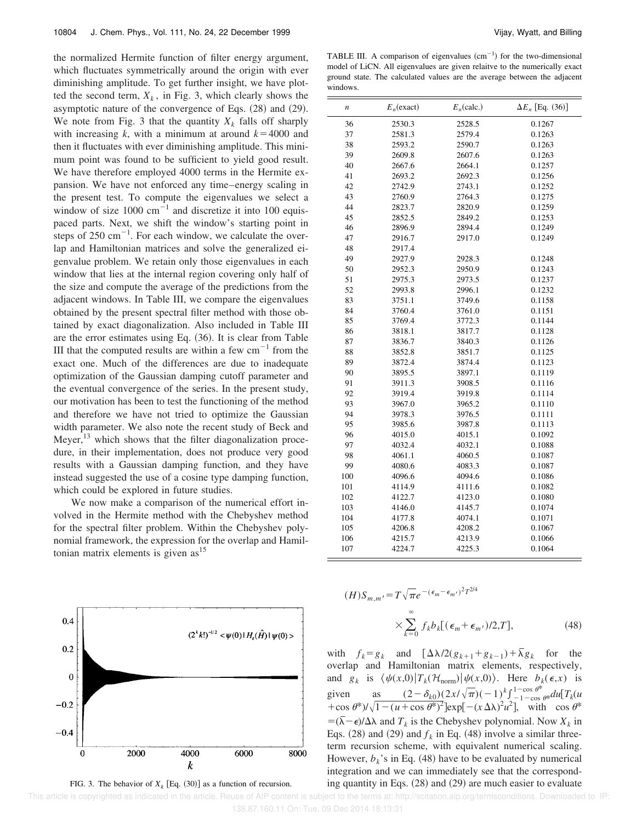the normalized Hermite function of filter energy argument, which fluctuates symmetrically around the origin with ever diminishing amplitude. To get further insight, we have plotted the second term,  $X_k$ , in Fig. 3, which clearly shows the asymptotic nature of the convergence of Eqs.  $(28)$  and  $(29)$ . We note from Fig. 3 that the quantity  $X_k$  falls off sharply with increasing k, with a minimum at around  $k=4000$  and then it fluctuates with ever diminishing amplitude. This minimum point was found to be sufficient to yield good result. We have therefore employed 4000 terms in the Hermite expansion. We have not enforced any time–energy scaling in the present test. To compute the eigenvalues we select a window of size  $1000 \text{ cm}^{-1}$  and discretize it into 100 equispaced parts. Next, we shift the window's starting point in steps of 250 cm<sup> $^{-1}$ </sup>. For each window, we calculate the overlap and Hamiltonian matrices and solve the generalized eigenvalue problem. We retain only those eigenvalues in each window that lies at the internal region covering only half of the size and compute the average of the predictions from the adjacent windows. In Table III, we compare the eigenvalues obtained by the present spectral filter method with those obtained by exact diagonalization. Also included in Table III are the error estimates using Eq.  $(36)$ . It is clear from Table III that the computed results are within a few  $cm^{-1}$  from the exact one. Much of the differences are due to inadequate optimization of the Gaussian damping cutoff parameter and the eventual convergence of the series. In the present study, our motivation has been to test the functioning of the method and therefore we have not tried to optimize the Gaussian width parameter. We also note the recent study of Beck and Meyer, $^{13}$  which shows that the filter diagonalization procedure, in their implementation, does not produce very good results with a Gaussian damping function, and they have instead suggested the use of a cosine type damping function, which could be explored in future studies.

We now make a comparison of the numerical effort involved in the Hermite method with the Chebyshev method for the spectral filter problem. Within the Chebyshev polynomial framework, the expression for the overlap and Hamiltonian matrix elements is given  $as<sup>15</sup>$ 





TABLE III. A comparison of eigenvalues  $(cm<sup>-1</sup>)$  for the two-dimensional model of LiCN. All eigenvalues are given relaitve to the numerically exact ground state. The calculated values are the average between the adjacent windows.

| $\boldsymbol{n}$ | $E_n$ (exact) | $E_n$ (calc.) | $\Delta E_n$ [Eq. (36)] |
|------------------|---------------|---------------|-------------------------|
| 36               | 2530.3        | 2528.5        | 0.1267                  |
| 37               | 2581.3        | 2579.4        | 0.1263                  |
| 38               | 2593.2        | 2590.7        | 0.1263                  |
| 39               | 2609.8        | 2607.6        | 0.1263                  |
| 40               | 2667.6        | 2664.1        | 0.1257                  |
| 41               | 2693.2        | 2692.3        | 0.1256                  |
| 42               | 2742.9        | 2743.1        | 0.1252                  |
| 43               | 2760.9        | 2764.3        | 0.1275                  |
| 44               | 2823.7        | 2820.9        | 0.1259                  |
| 45               | 2852.5        | 2849.2        | 0.1253                  |
| 46               | 2896.9        | 2894.4        | 0.1249                  |
| 47               | 2916.7        | 2917.0        | 0.1249                  |
| 48               | 2917.4        |               |                         |
| 49               | 2927.9        | 2928.3        | 0.1248                  |
| 50               | 2952.3        | 2950.9        | 0.1243                  |
| 51               | 2975.3        | 2973.5        | 0.1237                  |
| 52               | 2993.8        | 2996.1        | 0.1232                  |
| 83               | 3751.1        | 3749.6        | 0.1158                  |
| 84               | 3760.4        | 3761.0        | 0.1151                  |
| 85               | 3769.4        | 3772.3        | 0.1144                  |
| 86               | 3818.1        | 3817.7        | 0.1128                  |
| 87               | 3836.7        | 3840.3        | 0.1126                  |
| 88               | 3852.8        | 3851.7        | 0.1125                  |
| 89               | 3872.4        | 3874.4        | 0.1123                  |
| 90               | 3895.5        | 3897.1        | 0.1119                  |
| 91               | 3911.3        | 3908.5        | 0.1116                  |
| 92               | 3919.4        | 3919.8        | 0.1114                  |
| 93               | 3967.0        | 3965.2        | 0.1110                  |
| 94               | 3978.3        | 3976.5        | 0.1111                  |
| 95               | 3985.6        | 3987.8        | 0.1113                  |
| 96               | 4015.0        | 4015.1        | 0.1092                  |
| 97               | 4032.4        | 4032.1        | 0.1088                  |
| 98               | 4061.1        | 4060.5        | 0.1087                  |
| 99               | 4080.6        | 4083.3        | 0.1087                  |
| 100              | 4096.6        | 4094.6        | 0.1086                  |
| 101              | 4114.9        | 4111.6        | 0.1082                  |
| 102              | 4122.7        | 4123.0        | 0.1080                  |
| 103              | 4146.0        | 4145.7        | 0.1074                  |
| 104              | 4177.8        | 4074.1        | 0.1071                  |
| 105              | 4206.8        | 4208.2        | 0.1067                  |
| 106              | 4215.7        | 4213.9        | 0.1066                  |
| 107              | 4224.7        | 4225.3        | 0.1064                  |

$$
(H)S_{m,m'} = T\sqrt{\pi}e^{-(\epsilon_m - \epsilon_{m'})^2 T^{2/4}}
$$

$$
\times \sum_{k=0}^{\infty} f_k b_k [(\epsilon_m + \epsilon_{m'})/2, T], \qquad (48)
$$

with  $f_k = g_k$  and  $\left[\Delta \lambda/2(g_{k+1} + g_{k-1}) + \overline{\lambda}g_k\right]$  for the overlap and Hamiltonian matrix elements, respectively, and *g<sub>k</sub>* is  $\langle \psi(x,0) | T_k(\mathcal{H}_{norm}) | \psi(x,0) \rangle$ . Here *b<sub>k</sub>*( $\epsilon$ ,*x*) is given as  $(2 - \delta_{k0}) (2x/\sqrt{\pi})(-1)^k \int_{0}^{1-\cos\theta^*} t \, dt \left[T_k(u)\right]$  $+\cos(\theta^*)/\sqrt{1-(u+\cos(\theta^*)^2)}\exp[-(x\Delta\lambda)^2u^2]$ , with  $\cos(\theta^*)$  $= (\overline{\lambda} - \epsilon)/\Delta\lambda$  and  $T_k$  is the Chebyshev polynomial. Now  $X_k$  in Eqs.  $(28)$  and  $(29)$  and  $f_k$  in Eq.  $(48)$  involve a similar threeterm recursion scheme, with equivalent numerical scaling. However,  $b_k$ 's in Eq. (48) have to be evaluated by numerical integration and we can immediately see that the corresponding quantity in Eqs.  $(28)$  and  $(29)$  are much easier to evaluate